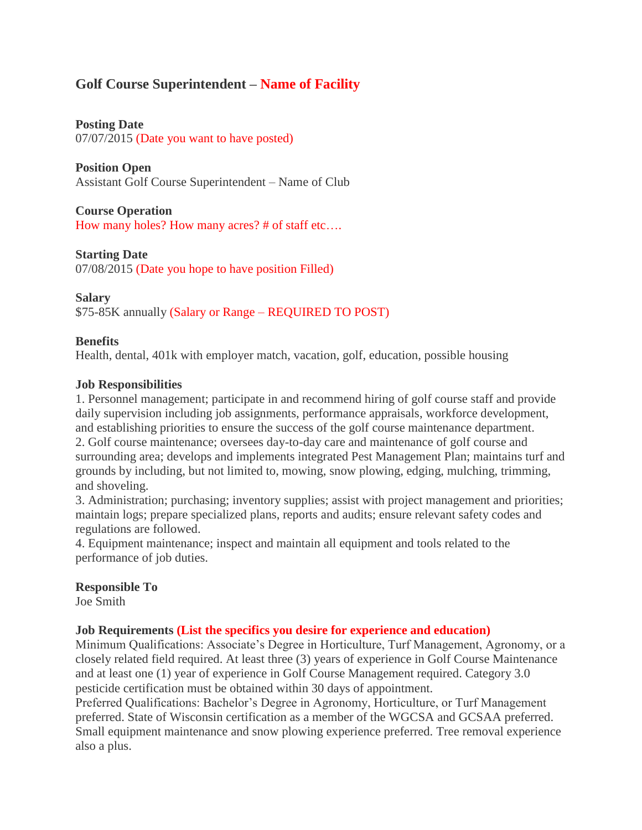# **Golf Course Superintendent – Name of Facility**

## **Posting Date**

07/07/2015 (Date you want to have posted)

## **Position Open**

Assistant Golf Course Superintendent – Name of Club

## **Course Operation**

How many holes? How many acres? # of staff etc….

## **Starting Date** 07/08/2015 (Date you hope to have position Filled)

## **Salary**

\$75-85K annually (Salary or Range – REQUIRED TO POST)

## **Benefits**

Health, dental, 401k with employer match, vacation, golf, education, possible housing

## **Job Responsibilities**

1. Personnel management; participate in and recommend hiring of golf course staff and provide daily supervision including job assignments, performance appraisals, workforce development, and establishing priorities to ensure the success of the golf course maintenance department. 2. Golf course maintenance; oversees day-to-day care and maintenance of golf course and surrounding area; develops and implements integrated Pest Management Plan; maintains turf and grounds by including, but not limited to, mowing, snow plowing, edging, mulching, trimming, and shoveling.

3. Administration; purchasing; inventory supplies; assist with project management and priorities; maintain logs; prepare specialized plans, reports and audits; ensure relevant safety codes and regulations are followed.

4. Equipment maintenance; inspect and maintain all equipment and tools related to the performance of job duties.

#### **Responsible To** Joe Smith

## **Job Requirements (List the specifics you desire for experience and education)**

Minimum Qualifications: Associate's Degree in Horticulture, Turf Management, Agronomy, or a closely related field required. At least three (3) years of experience in Golf Course Maintenance and at least one (1) year of experience in Golf Course Management required. Category 3.0 pesticide certification must be obtained within 30 days of appointment.

Preferred Qualifications: Bachelor's Degree in Agronomy, Horticulture, or Turf Management preferred. State of Wisconsin certification as a member of the WGCSA and GCSAA preferred. Small equipment maintenance and snow plowing experience preferred. Tree removal experience also a plus.